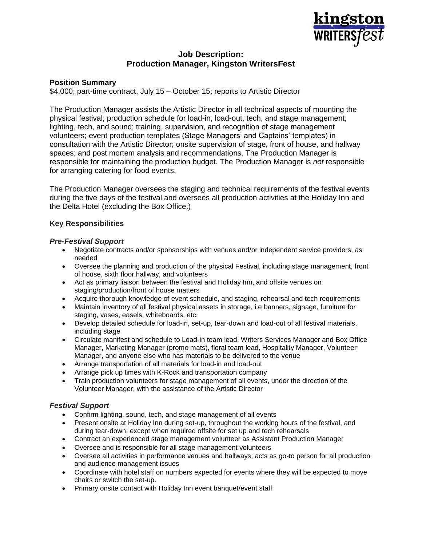

# **Job Description: Production Manager, Kingston WritersFest**

### **Position Summary**

\$4,000; part-time contract, July 15 – October 15; reports to Artistic Director

The Production Manager assists the Artistic Director in all technical aspects of mounting the physical festival; production schedule for load-in, load-out, tech, and stage management; lighting, tech, and sound; training, supervision, and recognition of stage management volunteers; event production templates (Stage Managers' and Captains' templates) in consultation with the Artistic Director; onsite supervision of stage, front of house, and hallway spaces; and post mortem analysis and recommendations. The Production Manager is responsible for maintaining the production budget. The Production Manager is *not* responsible for arranging catering for food events.

The Production Manager oversees the staging and technical requirements of the festival events during the five days of the festival and oversees all production activities at the Holiday Inn and the Delta Hotel (excluding the Box Office.)

### **Key Responsibilities**

#### *Pre-Festival Support*

- Negotiate contracts and/or sponsorships with venues and/or independent service providers, as needed
- Oversee the planning and production of the physical Festival, including stage management, front of house, sixth floor hallway, and volunteers
- Act as primary liaison between the festival and Holiday Inn, and offsite venues on staging/production/front of house matters
- Acquire thorough knowledge of event schedule, and staging, rehearsal and tech requirements
- Maintain inventory of all festival physical assets in storage, i.e banners, signage, furniture for staging, vases, easels, whiteboards, etc.
- Develop detailed schedule for load-in, set-up, tear-down and load-out of all festival materials, including stage
- Circulate manifest and schedule to Load-in team lead, Writers Services Manager and Box Office Manager, Marketing Manager (promo mats), floral team lead, Hospitality Manager, Volunteer Manager, and anyone else who has materials to be delivered to the venue
- Arrange transportation of all materials for load-in and load-out
- Arrange pick up times with K-Rock and transportation company
- Train production volunteers for stage management of all events, under the direction of the Volunteer Manager, with the assistance of the Artistic Director

# *Festival Support*

- Confirm lighting, sound, tech, and stage management of all events
- Present onsite at Holiday Inn during set-up, throughout the working hours of the festival, and during tear-down, except when required offsite for set up and tech rehearsals
- Contract an experienced stage management volunteer as Assistant Production Manager
- Oversee and is responsible for all stage management volunteers
- Oversee all activities in performance venues and hallways; acts as go-to person for all production and audience management issues
- Coordinate with hotel staff on numbers expected for events where they will be expected to move chairs or switch the set-up.
- Primary onsite contact with Holiday Inn event banquet/event staff